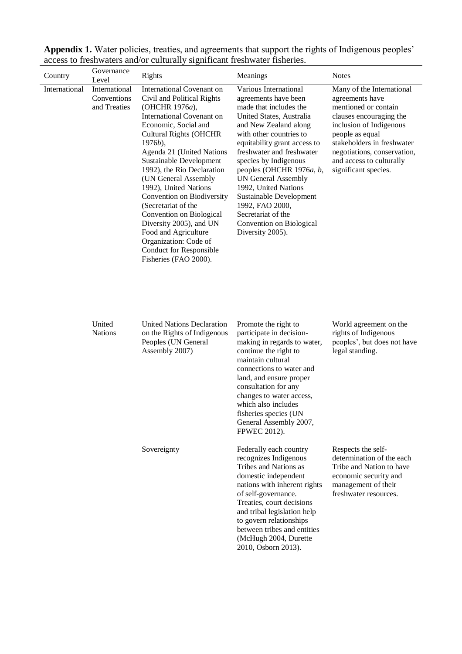| Country       | Governance<br>Level                          | Rights                                                                                                                                                                                                                                                                                                                                                                                                                                                                                                                                      | Meanings                                                                                                                                                                                                                                                                                                                                                                                                                                            | <b>Notes</b>                                                                                                                                                                                                                                                   |
|---------------|----------------------------------------------|---------------------------------------------------------------------------------------------------------------------------------------------------------------------------------------------------------------------------------------------------------------------------------------------------------------------------------------------------------------------------------------------------------------------------------------------------------------------------------------------------------------------------------------------|-----------------------------------------------------------------------------------------------------------------------------------------------------------------------------------------------------------------------------------------------------------------------------------------------------------------------------------------------------------------------------------------------------------------------------------------------------|----------------------------------------------------------------------------------------------------------------------------------------------------------------------------------------------------------------------------------------------------------------|
| International | International<br>Conventions<br>and Treaties | International Covenant on<br>Civil and Political Rights<br>(OHCHR 1976a),<br>International Covenant on<br>Economic, Social and<br><b>Cultural Rights (OHCHR</b><br>$1976b$ ,<br>Agenda 21 (United Nations<br>Sustainable Development<br>1992), the Rio Declaration<br>(UN General Assembly<br>1992), United Nations<br>Convention on Biodiversity<br>(Secretariat of the<br>Convention on Biological<br>Diversity 2005), and UN<br>Food and Agriculture<br>Organization: Code of<br><b>Conduct for Responsible</b><br>Fisheries (FAO 2000). | Various International<br>agreements have been<br>made that includes the<br>United States, Australia<br>and New Zealand along<br>with other countries to<br>equitability grant access to<br>freshwater and freshwater<br>species by Indigenous<br>peoples (OHCHR 1976a, b,<br><b>UN General Assembly</b><br>1992, United Nations<br>Sustainable Development<br>1992, FAO 2000,<br>Secretariat of the<br>Convention on Biological<br>Diversity 2005). | Many of the International<br>agreements have<br>mentioned or contain<br>clauses encouraging the<br>inclusion of Indigenous<br>people as equal<br>stakeholders in freshwater<br>negotiations, conservation,<br>and access to culturally<br>significant species. |
|               | United<br><b>Nations</b>                     | <b>United Nations Declaration</b><br>on the Rights of Indigenous<br>Peoples (UN General<br>Assembly 2007)                                                                                                                                                                                                                                                                                                                                                                                                                                   | Promote the right to<br>participate in decision-<br>making in regards to water,<br>continue the right to<br>maintain cultural<br>connections to water and<br>land, and ensure proper<br>consultation for any<br>changes to water access,<br>which also includes<br>fisheries species (UN<br>General Assembly 2007,<br><b>FPWEC 2012).</b>                                                                                                           | World agreement on the<br>rights of Indigenous<br>peoples', but does not have<br>legal standing.                                                                                                                                                               |
|               |                                              | Sovereignty                                                                                                                                                                                                                                                                                                                                                                                                                                                                                                                                 | Federally each country<br>recognizes Indigenous<br>Tribes and Nations as<br>domestic independent<br>nations with inherent rights<br>of self-governance.<br>Treaties, court decisions<br>and tribal legislation help<br>to govern relationships<br>between tribes and entities<br>(McHugh 2004, Durette<br>2010, Osborn 2013).                                                                                                                       | Respects the self-<br>determination of the each<br>Tribe and Nation to have<br>economic security and<br>management of their<br>freshwater resources.                                                                                                           |

**Appendix 1.** Water policies, treaties, and agreements that support the rights of Indigenous peoples' access to freshwaters and/or culturally significant freshwater fisheries.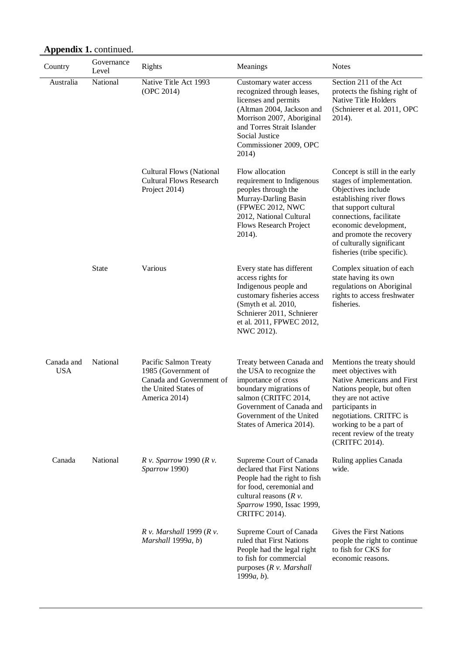| Country                  | Governance<br>Level | <b>Rights</b>                                                                                                     | Meanings                                                                                                                                                                                                                  | <b>Notes</b>                                                                                                                                                                                                                                                                      |
|--------------------------|---------------------|-------------------------------------------------------------------------------------------------------------------|---------------------------------------------------------------------------------------------------------------------------------------------------------------------------------------------------------------------------|-----------------------------------------------------------------------------------------------------------------------------------------------------------------------------------------------------------------------------------------------------------------------------------|
| Australia                | National            | Native Title Act 1993<br>(OPC 2014)                                                                               | Customary water access<br>recognized through leases,<br>licenses and permits<br>(Altman 2004, Jackson and<br>Morrison 2007, Aboriginal<br>and Torres Strait Islander<br>Social Justice<br>Commissioner 2009, OPC<br>2014) | Section 211 of the Act<br>protects the fishing right of<br>Native Title Holders<br>(Schnierer et al. 2011, OPC<br>2014).                                                                                                                                                          |
|                          |                     | <b>Cultural Flows (National</b><br><b>Cultural Flows Research</b><br>Project 2014)                                | Flow allocation<br>requirement to Indigenous<br>peoples through the<br>Murray-Darling Basin<br>(FPWEC 2012, NWC<br>2012, National Cultural<br>Flows Research Project<br>2014).                                            | Concept is still in the early<br>stages of implementation.<br>Objectives include<br>establishing river flows<br>that support cultural<br>connections, facilitate<br>economic development,<br>and promote the recovery<br>of culturally significant<br>fisheries (tribe specific). |
|                          | State               | Various                                                                                                           | Every state has different<br>access rights for<br>Indigenous people and<br>customary fisheries access<br>(Smyth et al. 2010,<br>Schnierer 2011, Schnierer<br>et al. 2011, FPWEC 2012,<br>NWC 2012).                       | Complex situation of each<br>state having its own<br>regulations on Aboriginal<br>rights to access freshwater<br>fisheries.                                                                                                                                                       |
| Canada and<br><b>USA</b> | National            | Pacific Salmon Treaty<br>1985 (Government of<br>Canada and Government of<br>the United States of<br>America 2014) | Treaty between Canada and<br>the USA to recognize the<br>importance of cross<br>boundary migrations of<br>salmon (CRITFC 2014,<br>Government of Canada and<br>Government of the United<br>States of America 2014).        | Mentions the treaty should<br>meet objectives with<br>Native Americans and First<br>Nations people, but often<br>they are not active<br>participants in<br>negotiations. CRITFC is<br>working to be a part of<br>recent review of the treaty<br>(CRITFC 2014).                    |
| Canada                   | National            | $R$ v. Sparrow 1990 ( $R$ v.<br>Sparrow 1990)                                                                     | Supreme Court of Canada<br>declared that First Nations<br>People had the right to fish<br>for food, ceremonial and<br>cultural reasons $(R v)$ .<br>Sparrow 1990, Issac 1999,<br><b>CRITFC 2014).</b>                     | Ruling applies Canada<br>wide.                                                                                                                                                                                                                                                    |
|                          |                     | $R$ v. Marshall 1999 ( $R$ v.<br>Marshall 1999a, b)                                                               | Supreme Court of Canada<br>ruled that First Nations<br>People had the legal right<br>to fish for commercial<br>purposes $(R v.$ Marshall<br>$1999a, b$ ).                                                                 | Gives the First Nations<br>people the right to continue<br>to fish for CKS for<br>economic reasons.                                                                                                                                                                               |

## Appendix 1. continued.